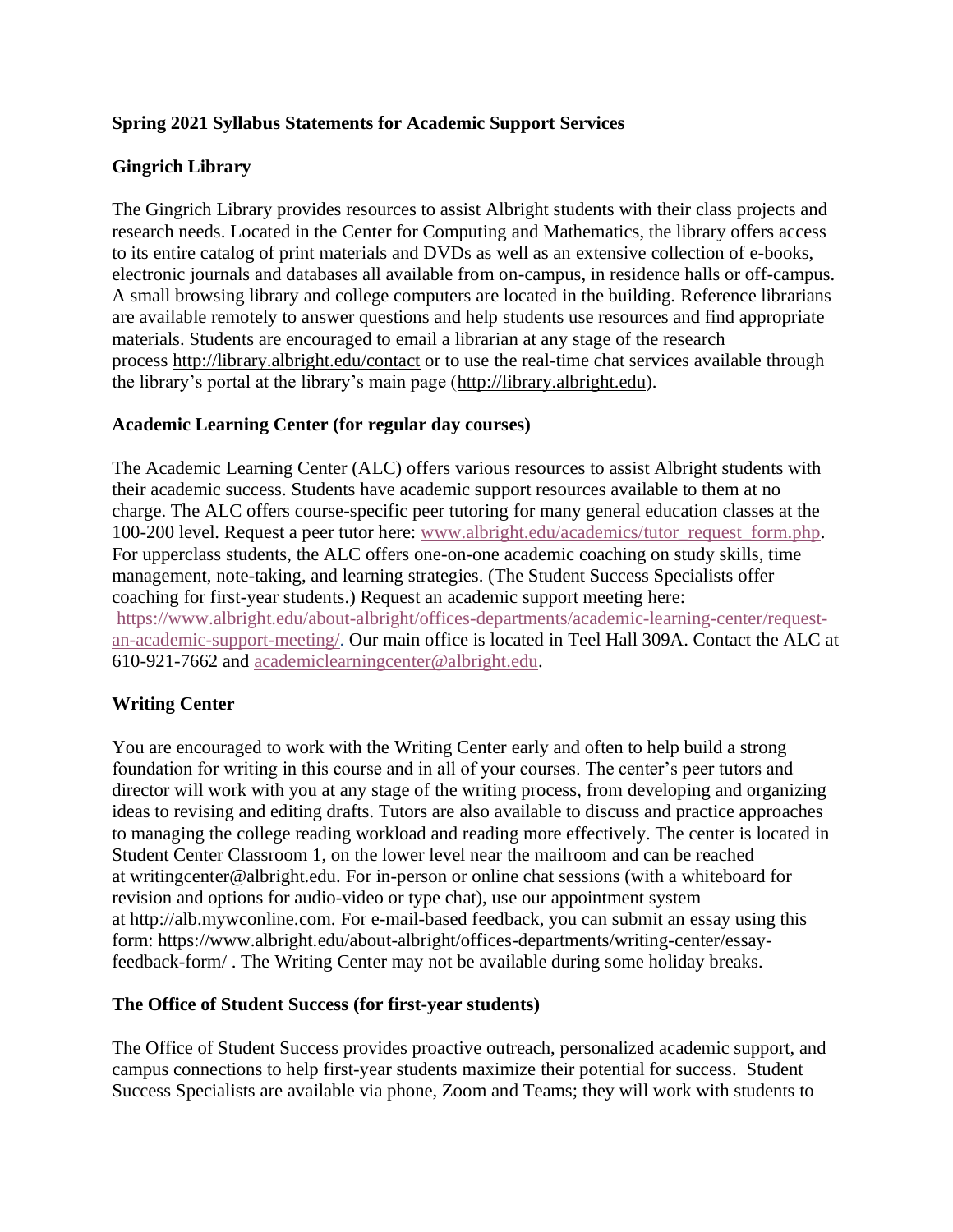## **Spring 2021 Syllabus Statements for Academic Support Services**

## **Gingrich Library**

The Gingrich Library provides resources to assist Albright students with their class projects and research needs. Located in the Center for Computing and Mathematics, the library offers access to its entire catalog of print materials and DVDs as well as an extensive collection of e-books, electronic journals and databases all available from on-campus, in residence halls or off-campus. A small browsing library and college computers are located in the building. Reference librarians are available remotely to answer questions and help students use resources and find appropriate materials. Students are encouraged to email a librarian at any stage of the research process <http://library.albright.edu/contact> or to use the real-time chat services available through the library's portal at the library's main page [\(http://library.albright.edu\)](http://library.albright.edu/).

## **Academic Learning Center (for regular day courses)**

The Academic Learning Center (ALC) offers various resources to assist Albright students with their academic success. Students have academic support resources available to them at no charge. The ALC offers course-specific peer tutoring for many general education classes at the 100-200 level. Request a peer tutor here: [www.albright.edu/academics/tutor\\_request\\_form.php.](http://www.albright.edu/academics/tutor_request_form.php) For upperclass students, the ALC offers one-on-one academic coaching on study skills, time management, note-taking, and learning strategies. (The Student Success Specialists offer coaching for first-year students.) Request an academic support meeting here: [https://www.albright.edu/about-albright/offices-departments/academic-learning-center/request](https://www.albright.edu/about-albright/offices-departments/academic-learning-center/request-an-academic-support-meeting/)[an-academic-support-meeting/.](https://www.albright.edu/about-albright/offices-departments/academic-learning-center/request-an-academic-support-meeting/) Our main office is located in Teel Hall 309A. Contact the ALC at 610-921-7662 and [academiclearningcenter@albright.edu.](mailto:academiclearningcenter@albright.edu)

# **Writing Center**

You are encouraged to work with the Writing Center early and often to help build a strong foundation for writing in this course and in all of your courses. The center's peer tutors and director will work with you at any stage of the writing process, from developing and organizing ideas to revising and editing drafts. Tutors are also available to discuss and practice approaches to managing the college reading workload and reading more effectively. The center is located in Student Center Classroom 1, on the lower level near the mailroom and can be reached at writingcenter@albright.edu. For in-person or online chat sessions (with a whiteboard for revision and options for audio-video or type chat), use our appointment system at http://alb.mywconline.com. For e-mail-based feedback, you can submit an essay using this form: https://www.albright.edu/about-albright/offices-departments/writing-center/essayfeedback-form/ . The Writing Center may not be available during some holiday breaks.

## **The Office of Student Success (for first-year students)**

The Office of Student Success provides proactive outreach, personalized academic support, and campus connections to help first-year students maximize their potential for success. Student Success Specialists are available via phone, Zoom and Teams; they will work with students to